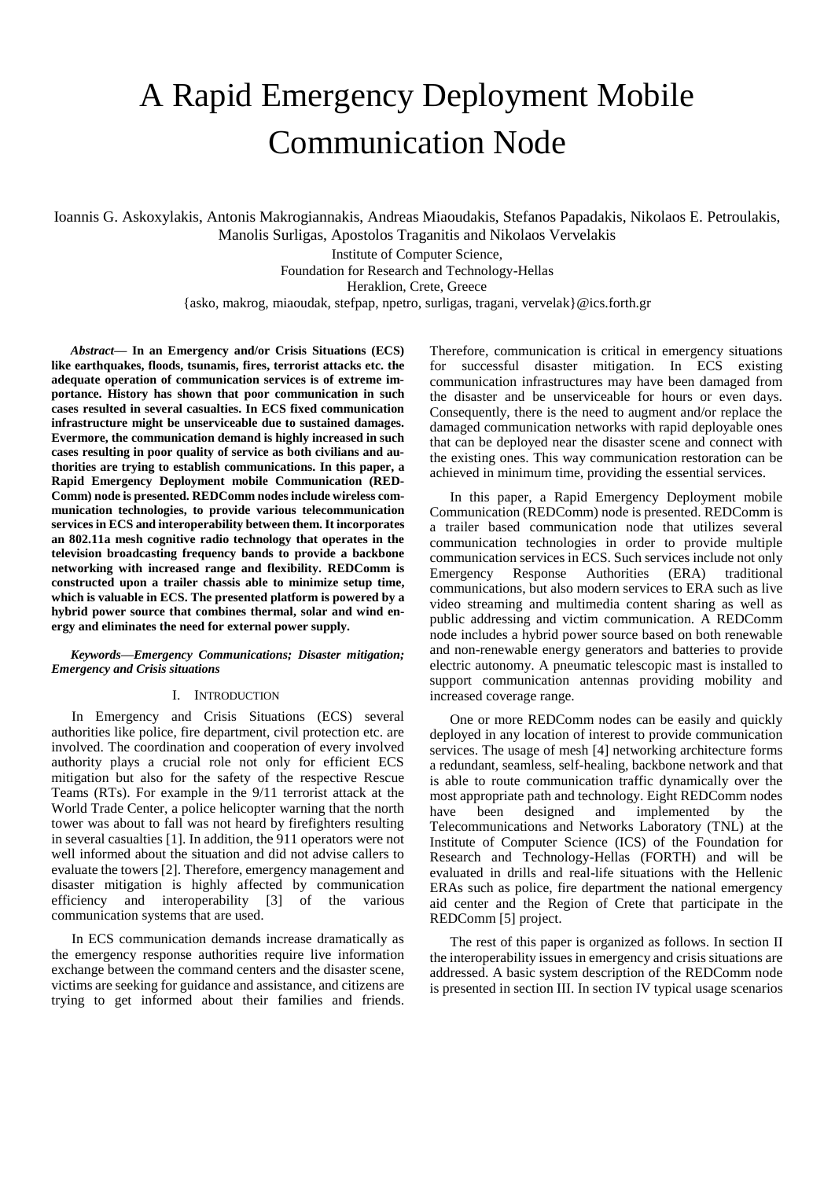# A Rapid Emergency Deployment Mobile Communication Node

Ioannis G. Askoxylakis, Antonis Makrogiannakis, Andreas Miaoudakis, Stefanos Papadakis, Nikolaos E. Petroulakis, Manolis Surligas, Apostolos Traganitis and Nikolaos Vervelakis

> Institute of Computer Science, Foundation for Research and Technology-Hellas Heraklion, Crete, Greece {asko, makrog, miaoudak, stefpap, npetro, surligas, tragani, vervelak}@ics.forth.gr

*Abstract***— In an Emergency and/or Crisis Situations (ECS) like earthquakes, floods, tsunamis, fires, terrorist attacks etc. the adequate operation of communication services is of extreme importance. History has shown that poor communication in such cases resulted in several casualties. In ECS fixed communication infrastructure might be unserviceable due to sustained damages. Evermore, the communication demand is highly increased in such cases resulting in poor quality of service as both civilians and authorities are trying to establish communications. In this paper, a Rapid Emergency Deployment mobile Communication (RED-Comm) node is presented. REDComm nodes include wireless communication technologies, to provide various telecommunication services in ECS and interoperability between them. It incorporates an 802.11a mesh cognitive radio technology that operates in the television broadcasting frequency bands to provide a backbone networking with increased range and flexibility. REDComm is constructed upon a trailer chassis able to minimize setup time, which is valuable in ECS. The presented platform is powered by a hybrid power source that combines thermal, solar and wind energy and eliminates the need for external power supply.** 

#### *Keywords—Emergency Communications; Disaster mitigation; Emergency and Crisis situations*

#### I. INTRODUCTION

In Emergency and Crisis Situations (ECS) several authorities like police, fire department, civil protection etc. are involved. The coordination and cooperation of every involved authority plays a crucial role not only for efficient ECS mitigation but also for the safety of the respective Rescue Teams (RTs). For example in the 9/11 terrorist attack at the World Trade Center, a police helicopter warning that the north tower was about to fall was not heard by firefighters resulting in several casualtie[s \[1\].](#page-4-0) In addition, the 911 operators were not well informed about the situation and did not advise callers to evaluate the towers [\[2\].](#page-4-1) Therefore, emergency management and disaster mitigation is highly affected by communication efficiency and interoperability [\[3\]](#page-4-2) of the various communication systems that are used.

In ECS communication demands increase dramatically as the emergency response authorities require live information exchange between the command centers and the disaster scene, victims are seeking for guidance and assistance, and citizens are trying to get informed about their families and friends.

Therefore, communication is critical in emergency situations for successful disaster mitigation. In ECS existing communication infrastructures may have been damaged from the disaster and be unserviceable for hours or even days. Consequently, there is the need to augment and/or replace the damaged communication networks with rapid deployable ones that can be deployed near the disaster scene and connect with the existing ones. This way communication restoration can be achieved in minimum time, providing the essential services.

In this paper, a Rapid Emergency Deployment mobile Communication (REDComm) node is presented. REDComm is a trailer based communication node that utilizes several communication technologies in order to provide multiple communication services in ECS. Such services include not only Emergency Response Authorities (ERA) traditional communications, but also modern services to ERA such as live video streaming and multimedia content sharing as well as public addressing and victim communication. A REDComm node includes a hybrid power source based on both renewable and non-renewable energy generators and batteries to provide electric autonomy. A pneumatic telescopic mast is installed to support communication antennas providing mobility and increased coverage range.

One or more REDComm nodes can be easily and quickly deployed in any location of interest to provide communication services. The usage of mesh [\[4\]](#page-4-3) networking architecture forms a redundant, seamless, self-healing, backbone network and that is able to route communication traffic dynamically over the most appropriate path and technology. Eight REDComm nodes have been designed and implemented by the Telecommunications and Networks Laboratory (TNL) at the Institute of Computer Science (ICS) of the Foundation for Research and Technology-Hellas (FORTH) and will be evaluated in drills and real-life situations with the Hellenic ERAs such as police, fire department the national emergency aid center and the Region of Crete that participate in the REDComm [\[5\]](#page-4-4) project.

The rest of this paper is organized as follows. In section [II](#page-1-0) the interoperability issues in emergency and crisis situations are addressed. A basic system description of the REDComm node is presented in section [III.](#page-1-1) In section [IV](#page-3-0) typical usage scenarios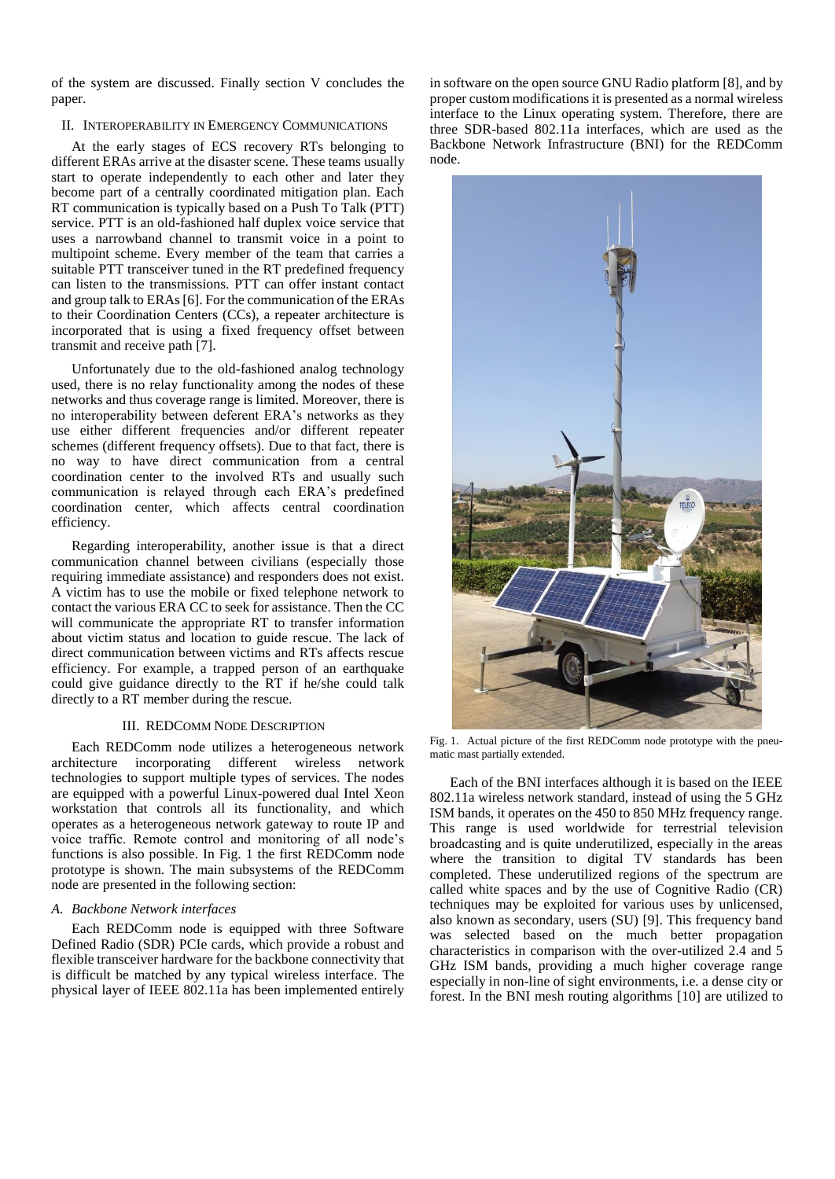of the system are discussed. Finally section [V](#page-3-1) concludes the paper.

## <span id="page-1-0"></span>II. INTEROPERABILITY IN EMERGENCY COMMUNICATIONS

At the early stages of ECS recovery RTs belonging to different ERAs arrive at the disaster scene. These teams usually start to operate independently to each other and later they become part of a centrally coordinated mitigation plan. Each RT communication is typically based on a Push To Talk (PTT) service. PTT is an old-fashioned half duplex voice service that uses a narrowband channel to transmit voice in a point to multipoint scheme. Every member of the team that carries a suitable PTT transceiver tuned in the RT predefined frequency can listen to the transmissions. PTT can offer instant contact and group talk to ERA[s \[6\].](#page-4-5) For the communication of the ERAs to their Coordination Centers (CCs), a repeater architecture is incorporated that is using a fixed frequency offset between transmit and receive path [\[7\].](#page-4-6)

Unfortunately due to the old-fashioned analog technology used, there is no relay functionality among the nodes of these networks and thus coverage range is limited. Moreover, there is no interoperability between deferent ERA's networks as they use either different frequencies and/or different repeater schemes (different frequency offsets). Due to that fact, there is no way to have direct communication from a central coordination center to the involved RTs and usually such communication is relayed through each ERA's predefined coordination center, which affects central coordination efficiency.

Regarding interoperability, another issue is that a direct communication channel between civilians (especially those requiring immediate assistance) and responders does not exist. A victim has to use the mobile or fixed telephone network to contact the various ERA CC to seek for assistance. Then the CC will communicate the appropriate RT to transfer information about victim status and location to guide rescue. The lack of direct communication between victims and RTs affects rescue efficiency. For example, a trapped person of an earthquake could give guidance directly to the RT if he/she could talk directly to a RT member during the rescue.

### III. REDCOMM NODE DESCRIPTION

<span id="page-1-1"></span>Each REDComm node utilizes a heterogeneous network architecture incorporating different wireless network technologies to support multiple types of services. The nodes are equipped with a powerful Linux-powered dual Intel Xeon workstation that controls all its functionality, and which operates as a heterogeneous network gateway to route IP and voice traffic. Remote control and monitoring of all node's functions is also possible. In Fig. 1 the first REDComm node prototype is shown. The main subsystems of the REDComm node are presented in the following section:

## *A. Backbone Network interfaces*

Each REDComm node is equipped with three Software Defined Radio (SDR) PCIe cards, which provide a robust and flexible transceiver hardware for the backbone connectivity that is difficult be matched by any typical wireless interface. The physical layer of IEEE 802.11a has been implemented entirely in software on the open source GNU Radio platform [\[8\],](#page-4-7) and by proper custom modifications it is presented as a normal wireless interface to the Linux operating system. Therefore, there are three SDR-based 802.11a interfaces, which are used as the Backbone Network Infrastructure (BNI) for the REDComm node.



Fig. 1. Actual picture of the first REDComm node prototype with the pneumatic mast partially extended.

Each of the BNI interfaces although it is based on the IEEE 802.11a wireless network standard, instead of using the 5 GHz ISM bands, it operates on the 450 to 850 MHz frequency range. This range is used worldwide for terrestrial television broadcasting and is quite underutilized, especially in the areas where the transition to digital TV standards has been completed. These underutilized regions of the spectrum are called white spaces and by the use of Cognitive Radio (CR) techniques may be exploited for various uses by unlicensed, also known as secondary, users (SU) [\[9\].](#page-4-8) This frequency band was selected based on the much better propagation characteristics in comparison with the over-utilized 2.4 and 5 GHz ISM bands, providing a much higher coverage range especially in non-line of sight environments, i.e. a dense city or forest. In the BNI mesh routing algorithms [\[10\]](#page-4-9) are utilized to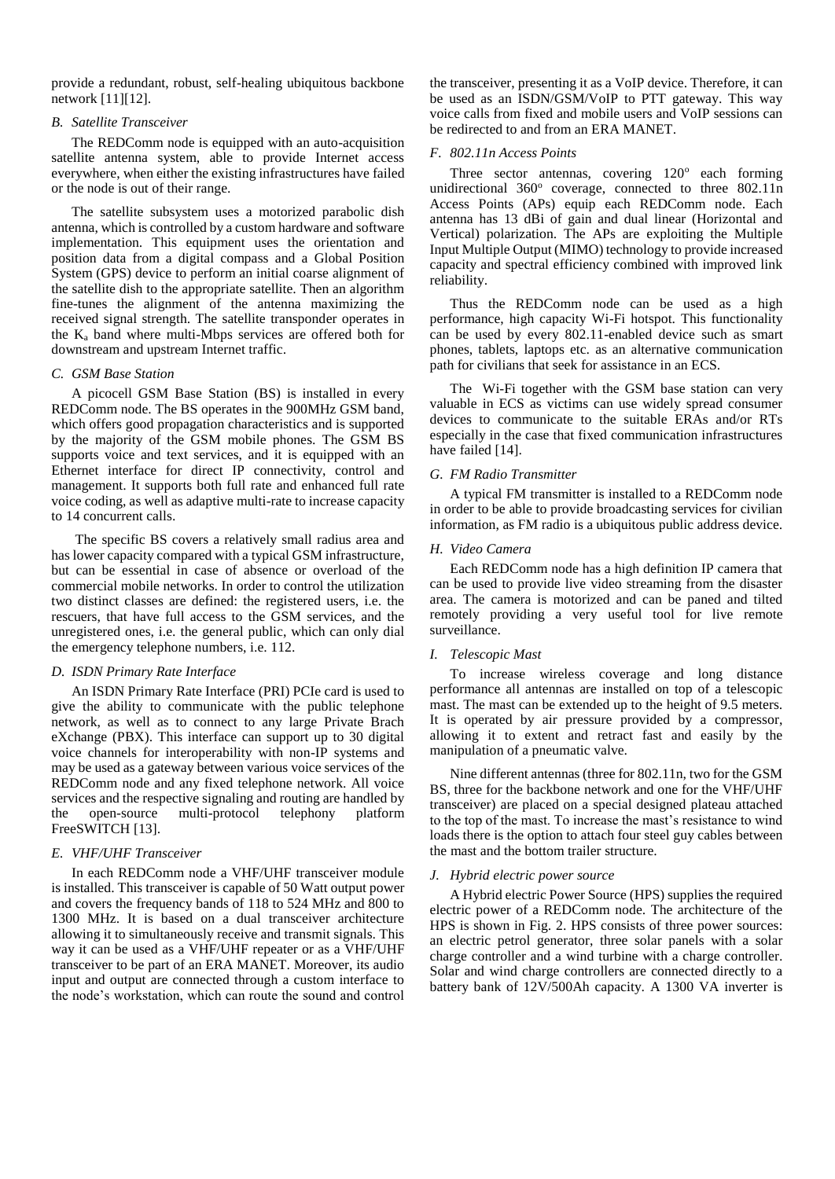provide a redundant, robust, self-healing ubiquitous backbone network [\[11\]\[12\].](#page-4-10)

## *B. Satellite Transceiver*

The REDComm node is equipped with an auto-acquisition satellite antenna system, able to provide Internet access everywhere, when either the existing infrastructures have failed or the node is out of their range.

The satellite subsystem uses a motorized parabolic dish antenna, which is controlled by a custom hardware and software implementation. This equipment uses the orientation and position data from a digital compass and a Global Position System (GPS) device to perform an initial coarse alignment of the satellite dish to the appropriate satellite. Then an algorithm fine-tunes the alignment of the antenna maximizing the received signal strength. The satellite transponder operates in the K<sup>a</sup> band where multi-Mbps services are offered both for downstream and upstream Internet traffic.

## *C. GSM Base Station*

A picocell GSM Base Station (BS) is installed in every REDComm node. The BS operates in the 900MHz GSM band, which offers good propagation characteristics and is supported by the majority of the GSM mobile phones. The GSM BS supports voice and text services, and it is equipped with an Ethernet interface for direct IP connectivity, control and management. It supports both full rate and enhanced full rate voice coding, as well as adaptive multi-rate to increase capacity to 14 concurrent calls.

The specific BS covers a relatively small radius area and has lower capacity compared with a typical GSM infrastructure, but can be essential in case of absence or overload of the commercial mobile networks. In order to control the utilization two distinct classes are defined: the registered users, i.e. the rescuers, that have full access to the GSM services, and the unregistered ones, i.e. the general public, which can only dial the emergency telephone numbers, i.e. 112.

#### *D. ISDN Primary Rate Interface*

An ISDN Primary Rate Interface (PRI) PCIe card is used to give the ability to communicate with the public telephone network, as well as to connect to any large Private Brach eXchange (PBX). This interface can support up to 30 digital voice channels for interoperability with non-IP systems and may be used as a gateway between various voice services of the REDComm node and any fixed telephone network. All voice services and the respective signaling and routing are handled by the open-source multi-protocol telephony platform FreeSWITCH [\[13\].](#page-4-11)

# *E. VHF/UHF Transceiver*

In each REDComm node a VHF/UHF transceiver module is installed. This transceiver is capable of 50 Watt output power and covers the frequency bands of 118 to 524 MHz and 800 to 1300 MHz. It is based on a dual transceiver architecture allowing it to simultaneously receive and transmit signals. This way it can be used as a VHF/UHF repeater or as a VHF/UHF transceiver to be part of an ERA MANET. Moreover, its audio input and output are connected through a custom interface to the node's workstation, which can route the sound and control

the transceiver, presenting it as a VoIP device. Therefore, it can be used as an ISDN/GSM/VoIP to PTT gateway. This way voice calls from fixed and mobile users and VoIP sessions can be redirected to and from an ERA MANET.

## *F. 802.11n Access Points*

Three sector antennas, covering  $120^\circ$  each forming unidirectional 360° coverage, connected to three 802.11n Access Points (APs) equip each REDComm node. Each antenna has 13 dBi of gain and dual linear (Horizontal and Vertical) polarization. The APs are exploiting the Multiple Input Multiple Output (MIMO) technology to provide increased capacity and spectral efficiency combined with improved link reliability.

Thus the REDComm node can be used as a high performance, high capacity Wi-Fi hotspot. This functionality can be used by every 802.11-enabled device such as smart phones, tablets, laptops etc. as an alternative communication path for civilians that seek for assistance in an ECS.

The Wi-Fi together with the GSM base station can very valuable in ECS as victims can use widely spread consumer devices to communicate to the suitable ERAs and/or RTs especially in the case that fixed communication infrastructures have failed [\[14\].](#page-4-12)

### *G. FM Radio Transmitter*

A typical FM transmitter is installed to a REDComm node in order to be able to provide broadcasting services for civilian information, as FM radio is a ubiquitous public address device.

### *H. Video Camera*

Each REDComm node has a high definition IP camera that can be used to provide live video streaming from the disaster area. The camera is motorized and can be paned and tilted remotely providing a very useful tool for live remote surveillance.

## *I. Telescopic Mast*

To increase wireless coverage and long distance performance all antennas are installed on top of a telescopic mast. The mast can be extended up to the height of 9.5 meters. It is operated by air pressure provided by a compressor, allowing it to extent and retract fast and easily by the manipulation of a pneumatic valve.

Nine different antennas (three for 802.11n, two for the GSM BS, three for the backbone network and one for the VHF/UHF transceiver) are placed on a special designed plateau attached to the top of the mast. To increase the mast's resistance to wind loads there is the option to attach four steel guy cables between the mast and the bottom trailer structure.

#### *J. Hybrid electric power source*

A Hybrid electric Power Source (HPS) supplies the required electric power of a REDComm node. The architecture of the HPS is shown in Fig. 2. HPS consists of three power sources: an electric petrol generator, three solar panels with a solar charge controller and a wind turbine with a charge controller. Solar and wind charge controllers are connected directly to a battery bank of 12V/500Ah capacity. A 1300 VA inverter is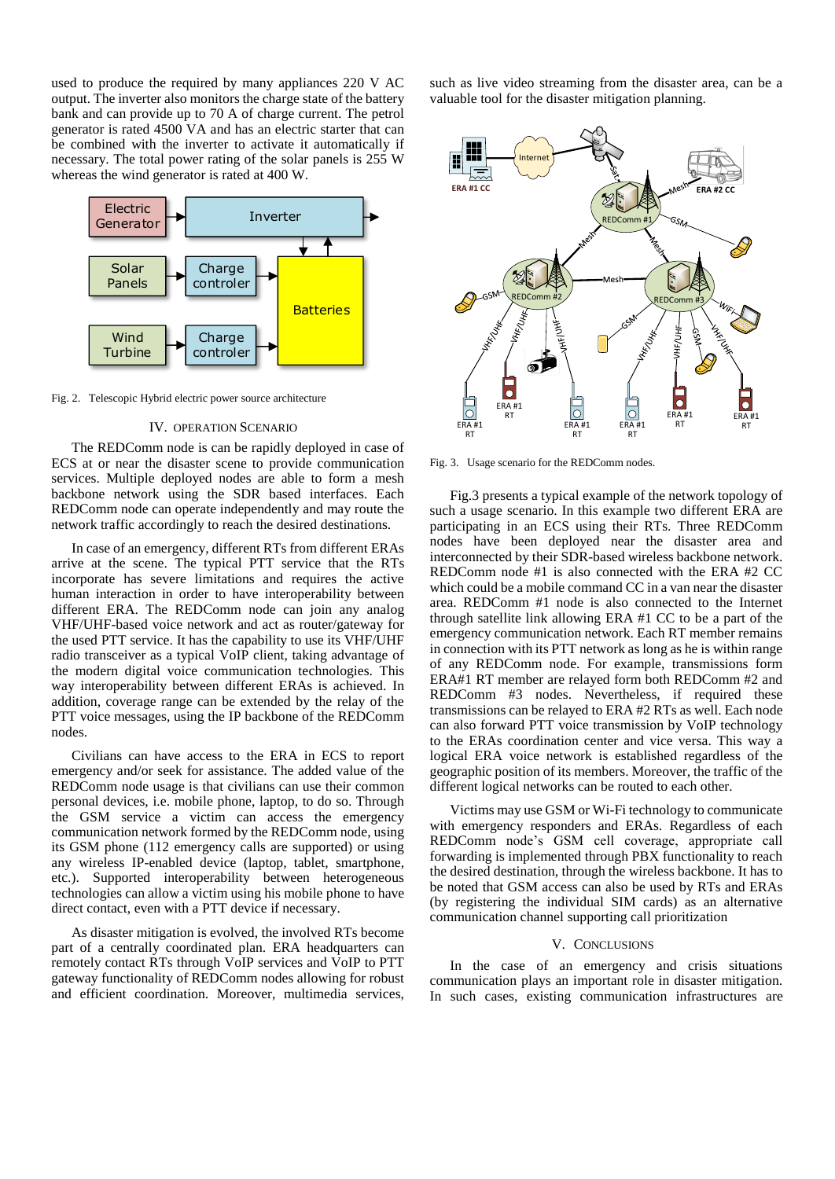used to produce the required by many appliances 220 V AC output. The inverter also monitors the charge state of the battery bank and can provide up to 70 A of charge current. The petrol generator is rated 4500 VA and has an electric starter that can be combined with the inverter to activate it automatically if necessary. The total power rating of the solar panels is 255 W whereas the wind generator is rated at 400 W.



Fig. 2. Telescopic Hybrid electric power source architecture

#### IV. OPERATION SCENARIO

<span id="page-3-0"></span>The REDComm node is can be rapidly deployed in case of ECS at or near the disaster scene to provide communication services. Multiple deployed nodes are able to form a mesh backbone network using the SDR based interfaces. Each REDComm node can operate independently and may route the network traffic accordingly to reach the desired destinations.

In case of an emergency, different RTs from different ERAs arrive at the scene. The typical PTT service that the RTs incorporate has severe limitations and requires the active human interaction in order to have interoperability between different ERA. The REDComm node can join any analog VHF/UHF-based voice network and act as router/gateway for the used PTT service. It has the capability to use its VHF/UHF radio transceiver as a typical VoIP client, taking advantage of the modern digital voice communication technologies. This way interoperability between different ERAs is achieved. In addition, coverage range can be extended by the relay of the PTT voice messages, using the IP backbone of the REDComm nodes.

Civilians can have access to the ERA in ECS to report emergency and/or seek for assistance. The added value of the REDComm node usage is that civilians can use their common personal devices, i.e. mobile phone, laptop, to do so. Through the GSM service a victim can access the emergency communication network formed by the REDComm node, using its GSM phone (112 emergency calls are supported) or using any wireless IP-enabled device (laptop, tablet, smartphone, etc.). Supported interoperability between heterogeneous technologies can allow a victim using his mobile phone to have direct contact, even with a PTT device if necessary.

As disaster mitigation is evolved, the involved RTs become part of a centrally coordinated plan. ERA headquarters can remotely contact RTs through VoIP services and VoIP to PTT gateway functionality of REDComm nodes allowing for robust and efficient coordination. Moreover, multimedia services, such as live video streaming from the disaster area, can be a valuable tool for the disaster mitigation planning.



Fig. 3. Usage scenario for the REDComm nodes.

Fig.3 presents a typical example of the network topology of such a usage scenario. In this example two different ERA are participating in an ECS using their RTs. Three REDComm nodes have been deployed near the disaster area and interconnected by their SDR-based wireless backbone network. REDComm node #1 is also connected with the ERA #2 CC which could be a mobile command CC in a van near the disaster area. REDComm #1 node is also connected to the Internet through satellite link allowing ERA #1 CC to be a part of the emergency communication network. Each RT member remains in connection with its PTT network as long as he is within range of any REDComm node. For example, transmissions form ERA#1 RT member are relayed form both REDComm #2 and REDComm #3 nodes. Nevertheless, if required these transmissions can be relayed to ERA #2 RTs as well. Each node can also forward PTT voice transmission by VoIP technology to the ERAs coordination center and vice versa. This way a logical ERA voice network is established regardless of the geographic position of its members. Moreover, the traffic of the different logical networks can be routed to each other.

Victims may use GSM or Wi-Fi technology to communicate with emergency responders and ERAs. Regardless of each REDComm node's GSM cell coverage, appropriate call forwarding is implemented through PBX functionality to reach the desired destination, through the wireless backbone. It has to be noted that GSM access can also be used by RTs and ERAs (by registering the individual SIM cards) as an alternative communication channel supporting call prioritization

#### V. CONCLUSIONS

<span id="page-3-1"></span>In the case of an emergency and crisis situations communication plays an important role in disaster mitigation. In such cases, existing communication infrastructures are